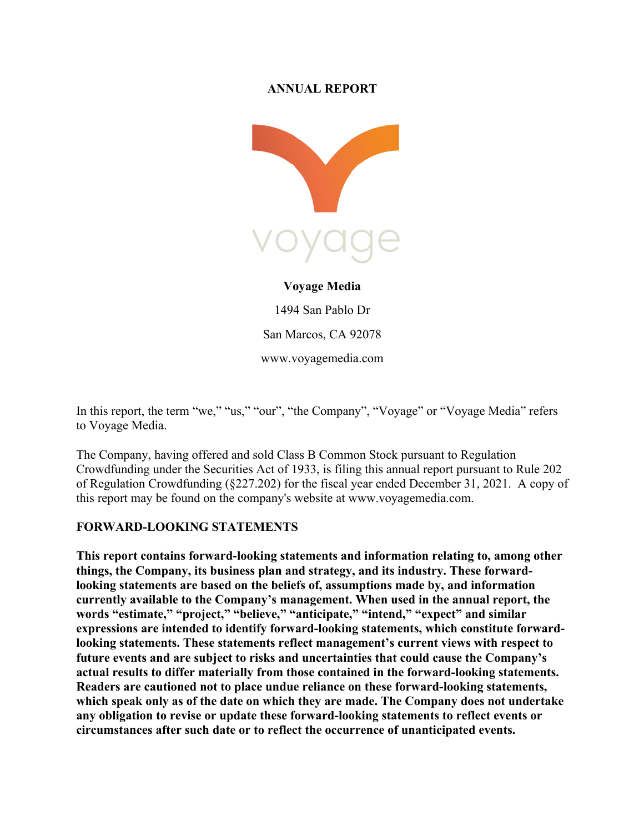#### **ANNUAL REPORT**



# **Voyage Media**

1494 San Pablo Dr San Marcos, CA 92078 www.voyagemedia.com

In this report, the term "we," "us," "our", "the Company", "Voyage" or "Voyage Media" refers to Voyage Media.

The Company, having offered and sold Class B Common Stock pursuant to Regulation Crowdfunding under the Securities Act of 1933, is filing this annual report pursuant to Rule 202 of Regulation Crowdfunding (§227.202) for the fiscal year ended December 31, 2021. A copy of this report may be found on the company's website at www.voyagemedia.com.

#### **FORWARD-LOOKING STATEMENTS**

**This report contains forward-looking statements and information relating to, among other things, the Company, its business plan and strategy, and its industry. These forwardlooking statements are based on the beliefs of, assumptions made by, and information currently available to the Company's management. When used in the annual report, the words "estimate," "project," "believe," "anticipate," "intend," "expect" and similar expressions are intended to identify forward-looking statements, which constitute forwardlooking statements. These statements reflect management's current views with respect to future events and are subject to risks and uncertainties that could cause the Company's actual results to differ materially from those contained in the forward-looking statements. Readers are cautioned not to place undue reliance on these forward-looking statements, which speak only as of the date on which they are made. The Company does not undertake any obligation to revise or update these forward-looking statements to reflect events or circumstances after such date or to reflect the occurrence of unanticipated events.**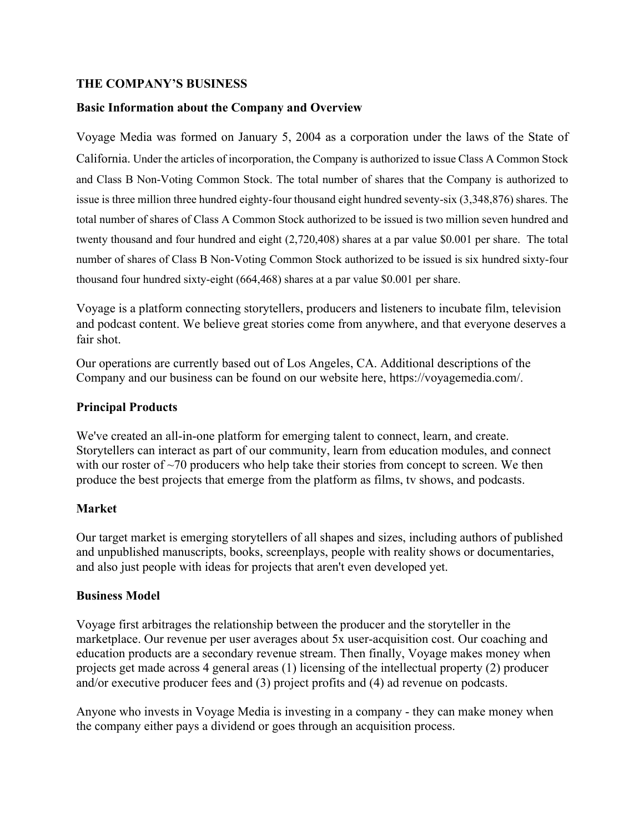#### **THE COMPANY'S BUSINESS**

#### **Basic Information about the Company and Overview**

Voyage Media was formed on January 5, 2004 as a corporation under the laws of the State of California. Under the articles of incorporation, the Company is authorized to issue Class A Common Stock and Class B Non-Voting Common Stock. The total number of shares that the Company is authorized to issue is three million three hundred eighty-four thousand eight hundred seventy-six (3,348,876) shares. The total number of shares of Class A Common Stock authorized to be issued is two million seven hundred and twenty thousand and four hundred and eight (2,720,408) shares at a par value \$0.001 per share. The total number of shares of Class B Non-Voting Common Stock authorized to be issued is six hundred sixty-four thousand four hundred sixty-eight (664,468) shares at a par value \$0.001 per share.

Voyage is a platform connecting storytellers, producers and listeners to incubate film, television and podcast content. We believe great stories come from anywhere, and that everyone deserves a fair shot.

Our operations are currently based out of Los Angeles, CA. Additional descriptions of the Company and our business can be found on our website here, https://voyagemedia.com/.

#### **Principal Products**

We've created an all-in-one platform for emerging talent to connect, learn, and create. Storytellers can interact as part of our community, learn from education modules, and connect with our roster of  $\sim$ 70 producers who help take their stories from concept to screen. We then produce the best projects that emerge from the platform as films, tv shows, and podcasts.

#### **Market**

Our target market is emerging storytellers of all shapes and sizes, including authors of published and unpublished manuscripts, books, screenplays, people with reality shows or documentaries, and also just people with ideas for projects that aren't even developed yet.

#### **Business Model**

Voyage first arbitrages the relationship between the producer and the storyteller in the marketplace. Our revenue per user averages about 5x user-acquisition cost. Our coaching and education products are a secondary revenue stream. Then finally, Voyage makes money when projects get made across 4 general areas (1) licensing of the intellectual property (2) producer and/or executive producer fees and (3) project profits and (4) ad revenue on podcasts.

Anyone who invests in Voyage Media is investing in a company - they can make money when the company either pays a dividend or goes through an acquisition process.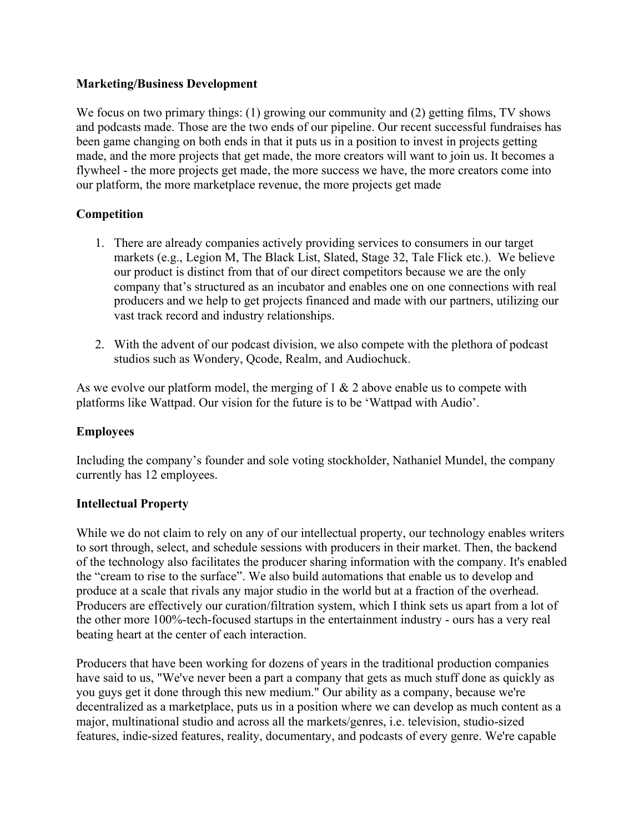#### **Marketing/Business Development**

We focus on two primary things: (1) growing our community and (2) getting films, TV shows and podcasts made. Those are the two ends of our pipeline. Our recent successful fundraises has been game changing on both ends in that it puts us in a position to invest in projects getting made, and the more projects that get made, the more creators will want to join us. It becomes a flywheel - the more projects get made, the more success we have, the more creators come into our platform, the more marketplace revenue, the more projects get made

#### **Competition**

- 1. There are already companies actively providing services to consumers in our target markets (e.g., Legion M, The Black List, Slated, Stage 32, Tale Flick etc.). We believe our product is distinct from that of our direct competitors because we are the only company that's structured as an incubator and enables one on one connections with real producers and we help to get projects financed and made with our partners, utilizing our vast track record and industry relationships.
- 2. With the advent of our podcast division, we also compete with the plethora of podcast studios such as Wondery, Qcode, Realm, and Audiochuck.

As we evolve our platform model, the merging of  $1 \& 2$  above enable us to compete with platforms like Wattpad. Our vision for the future is to be 'Wattpad with Audio'.

#### **Employees**

Including the company's founder and sole voting stockholder, Nathaniel Mundel, the company currently has 12 employees.

#### **Intellectual Property**

While we do not claim to rely on any of our intellectual property, our technology enables writers to sort through, select, and schedule sessions with producers in their market. Then, the backend of the technology also facilitates the producer sharing information with the company. It's enabled the "cream to rise to the surface". We also build automations that enable us to develop and produce at a scale that rivals any major studio in the world but at a fraction of the overhead. Producers are effectively our curation/filtration system, which I think sets us apart from a lot of the other more 100%-tech-focused startups in the entertainment industry - ours has a very real beating heart at the center of each interaction.

Producers that have been working for dozens of years in the traditional production companies have said to us, "We've never been a part a company that gets as much stuff done as quickly as you guys get it done through this new medium." Our ability as a company, because we're decentralized as a marketplace, puts us in a position where we can develop as much content as a major, multinational studio and across all the markets/genres, i.e. television, studio-sized features, indie-sized features, reality, documentary, and podcasts of every genre. We're capable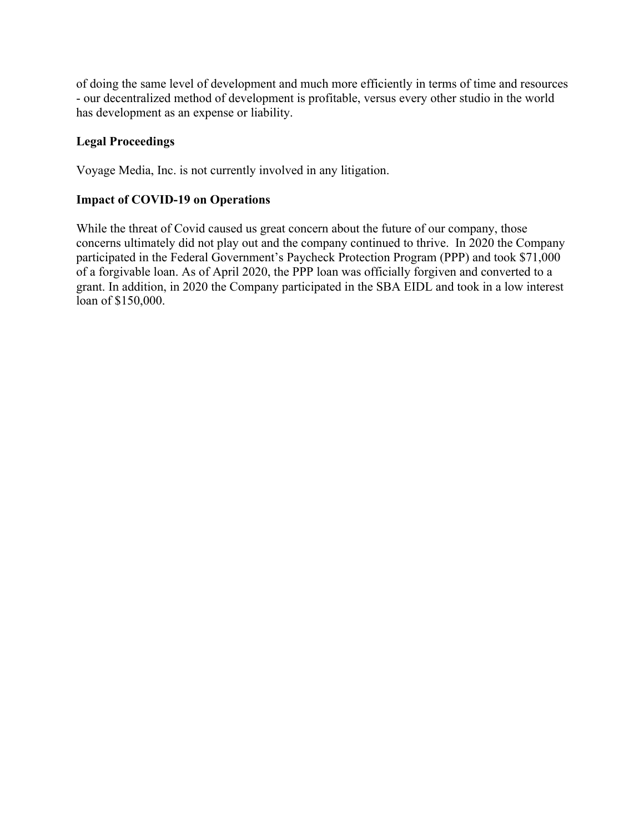of doing the same level of development and much more efficiently in terms of time and resources - our decentralized method of development is profitable, versus every other studio in the world has development as an expense or liability.

### **Legal Proceedings**

Voyage Media, Inc. is not currently involved in any litigation.

### **Impact of COVID-19 on Operations**

While the threat of Covid caused us great concern about the future of our company, those concerns ultimately did not play out and the company continued to thrive. In 2020 the Company participated in the Federal Government's Paycheck Protection Program (PPP) and took \$71,000 of a forgivable loan. As of April 2020, the PPP loan was officially forgiven and converted to a grant. In addition, in 2020 the Company participated in the SBA EIDL and took in a low interest loan of \$150,000.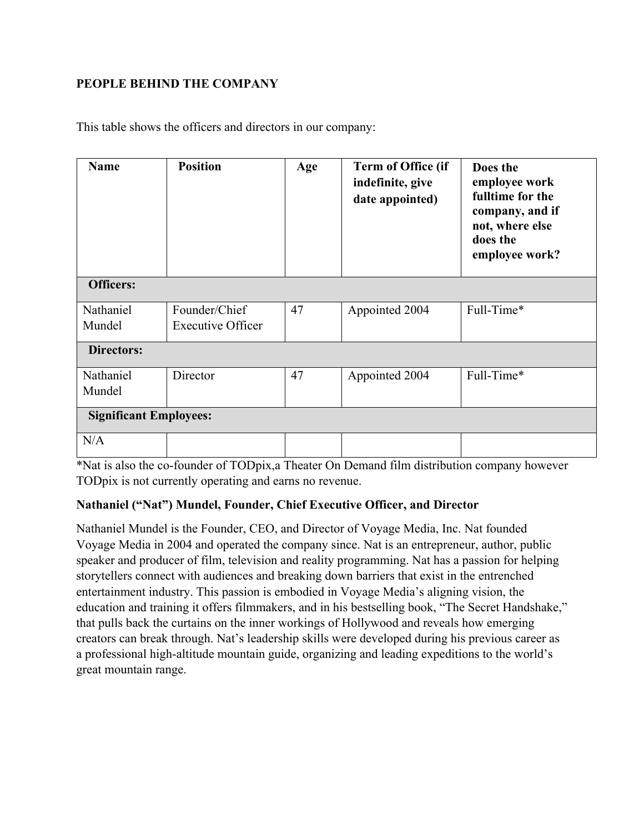### **PEOPLE BEHIND THE COMPANY**

This table shows the officers and directors in our company:

| <b>Name</b>                   | <b>Position</b>                           | Age | Term of Office (if<br>indefinite, give<br>date appointed) | Does the<br>employee work<br>fulltime for the<br>company, and if<br>not, where else<br>does the<br>employee work? |
|-------------------------------|-------------------------------------------|-----|-----------------------------------------------------------|-------------------------------------------------------------------------------------------------------------------|
| <b>Officers:</b>              |                                           |     |                                                           |                                                                                                                   |
| Nathaniel<br>Mundel           | Founder/Chief<br><b>Executive Officer</b> | 47  | Appointed 2004                                            | Full-Time*                                                                                                        |
| <b>Directors:</b>             |                                           |     |                                                           |                                                                                                                   |
| Nathaniel<br>Mundel           | Director                                  | 47  | Appointed 2004                                            | Full-Time*                                                                                                        |
| <b>Significant Employees:</b> |                                           |     |                                                           |                                                                                                                   |
| N/A                           |                                           |     |                                                           |                                                                                                                   |

\*Nat is also the co-founder of TODpix,a Theater On Demand film distribution company however TODpix is not currently operating and earns no revenue.

#### **Nathaniel ("Nat") Mundel, Founder, Chief Executive Officer, and Director**

Nathaniel Mundel is the Founder, CEO, and Director of Voyage Media, Inc. Nat founded Voyage Media in 2004 and operated the company since. Nat is an entrepreneur, author, public speaker and producer of film, television and reality programming. Nat has a passion for helping storytellers connect with audiences and breaking down barriers that exist in the entrenched entertainment industry. This passion is embodied in Voyage Media's aligning vision, the education and training it offers filmmakers, and in his bestselling book, "The Secret Handshake," that pulls back the curtains on the inner workings of Hollywood and reveals how emerging creators can break through. Nat's leadership skills were developed during his previous career as a professional high-altitude mountain guide, organizing and leading expeditions to the world's great mountain range.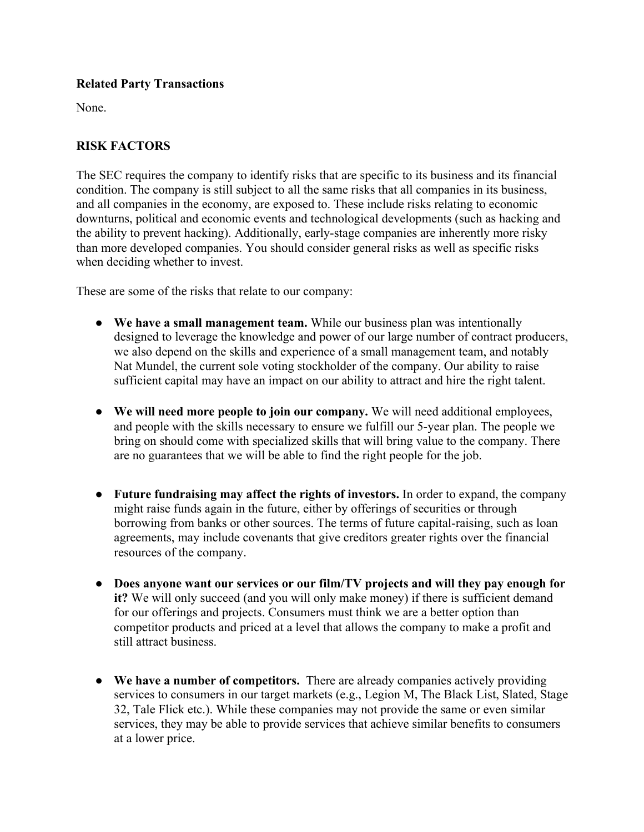#### **Related Party Transactions**

None.

### **RISK FACTORS**

The SEC requires the company to identify risks that are specific to its business and its financial condition. The company is still subject to all the same risks that all companies in its business, and all companies in the economy, are exposed to. These include risks relating to economic downturns, political and economic events and technological developments (such as hacking and the ability to prevent hacking). Additionally, early-stage companies are inherently more risky than more developed companies. You should consider general risks as well as specific risks when deciding whether to invest.

These are some of the risks that relate to our company:

- **We have a small management team.** While our business plan was intentionally designed to leverage the knowledge and power of our large number of contract producers, we also depend on the skills and experience of a small management team, and notably Nat Mundel, the current sole voting stockholder of the company. Our ability to raise sufficient capital may have an impact on our ability to attract and hire the right talent.
- **We will need more people to join our company.** We will need additional employees, and people with the skills necessary to ensure we fulfill our 5-year plan. The people we bring on should come with specialized skills that will bring value to the company. There are no guarantees that we will be able to find the right people for the job.
- **Future fundraising may affect the rights of investors.** In order to expand, the company might raise funds again in the future, either by offerings of securities or through borrowing from banks or other sources. The terms of future capital-raising, such as loan agreements, may include covenants that give creditors greater rights over the financial resources of the company.
- **Does anyone want our services or our film/TV projects and will they pay enough for it?** We will only succeed (and you will only make money) if there is sufficient demand for our offerings and projects. Consumers must think we are a better option than competitor products and priced at a level that allows the company to make a profit and still attract business.
- **We have a number of competitors.** There are already companies actively providing services to consumers in our target markets (e.g., Legion M, The Black List, Slated, Stage 32, Tale Flick etc.). While these companies may not provide the same or even similar services, they may be able to provide services that achieve similar benefits to consumers at a lower price.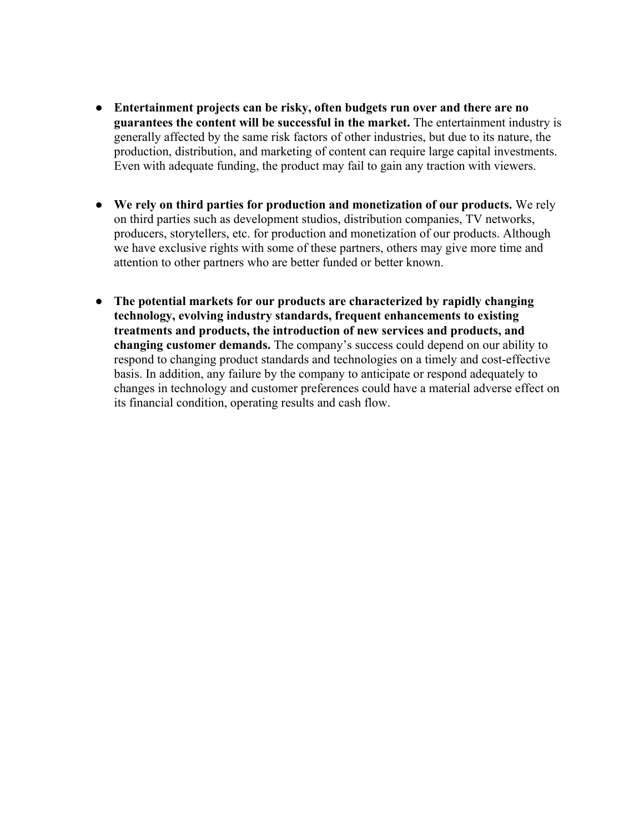- **Entertainment projects can be risky, often budgets run over and there are no guarantees the content will be successful in the market.** The entertainment industry is generally affected by the same risk factors of other industries, but due to its nature, the production, distribution, and marketing of content can require large capital investments. Even with adequate funding, the product may fail to gain any traction with viewers.
- **We rely on third parties for production and monetization of our products.** We rely on third parties such as development studios, distribution companies, TV networks, producers, storytellers, etc. for production and monetization of our products. Although we have exclusive rights with some of these partners, others may give more time and attention to other partners who are better funded or better known.
- **The potential markets for our products are characterized by rapidly changing technology, evolving industry standards, frequent enhancements to existing treatments and products, the introduction of new services and products, and changing customer demands.** The company's success could depend on our ability to respond to changing product standards and technologies on a timely and cost-effective basis. In addition, any failure by the company to anticipate or respond adequately to changes in technology and customer preferences could have a material adverse effect on its financial condition, operating results and cash flow.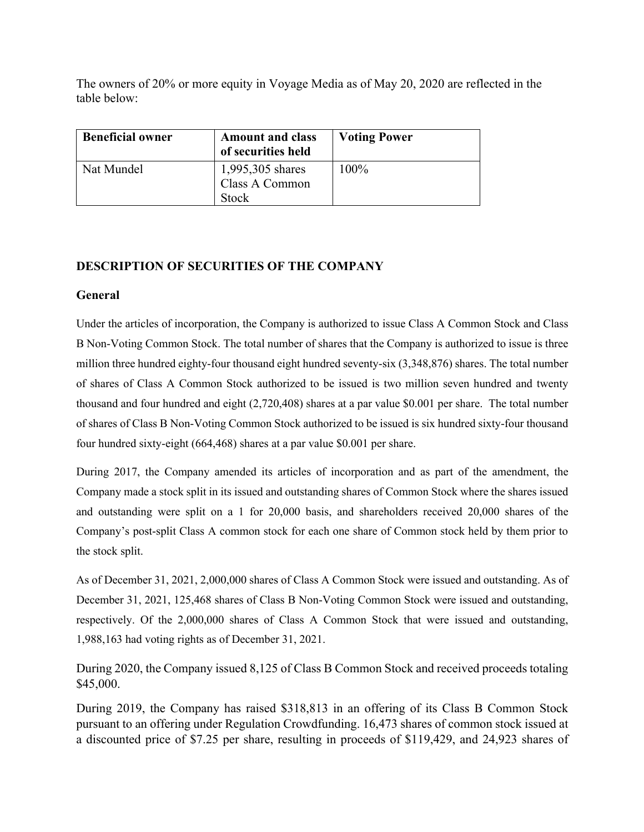The owners of 20% or more equity in Voyage Media as of May 20, 2020 are reflected in the table below:

| <b>Beneficial owner</b> | <b>Amount and class</b><br>of securities held | <b>Voting Power</b> |
|-------------------------|-----------------------------------------------|---------------------|
| Nat Mundel              | 1,995,305 shares<br>Class A Common            | $100\%$             |
|                         | <b>Stock</b>                                  |                     |

#### **DESCRIPTION OF SECURITIES OF THE COMPANY**

#### **General**

Under the articles of incorporation, the Company is authorized to issue Class A Common Stock and Class B Non-Voting Common Stock. The total number of shares that the Company is authorized to issue is three million three hundred eighty-four thousand eight hundred seventy-six (3,348,876) shares. The total number of shares of Class A Common Stock authorized to be issued is two million seven hundred and twenty thousand and four hundred and eight (2,720,408) shares at a par value \$0.001 per share. The total number of shares of Class B Non-Voting Common Stock authorized to be issued is six hundred sixty-four thousand four hundred sixty-eight (664,468) shares at a par value \$0.001 per share.

During 2017, the Company amended its articles of incorporation and as part of the amendment, the Company made a stock split in its issued and outstanding shares of Common Stock where the shares issued and outstanding were split on a 1 for 20,000 basis, and shareholders received 20,000 shares of the Company's post-split Class A common stock for each one share of Common stock held by them prior to the stock split.

As of December 31, 2021, 2,000,000 shares of Class A Common Stock were issued and outstanding. As of December 31, 2021, 125,468 shares of Class B Non-Voting Common Stock were issued and outstanding, respectively. Of the 2,000,000 shares of Class A Common Stock that were issued and outstanding, 1,988,163 had voting rights as of December 31, 2021.

During 2020, the Company issued 8,125 of Class B Common Stock and received proceeds totaling \$45,000.

During 2019, the Company has raised \$318,813 in an offering of its Class B Common Stock pursuant to an offering under Regulation Crowdfunding. 16,473 shares of common stock issued at a discounted price of \$7.25 per share, resulting in proceeds of \$119,429, and 24,923 shares of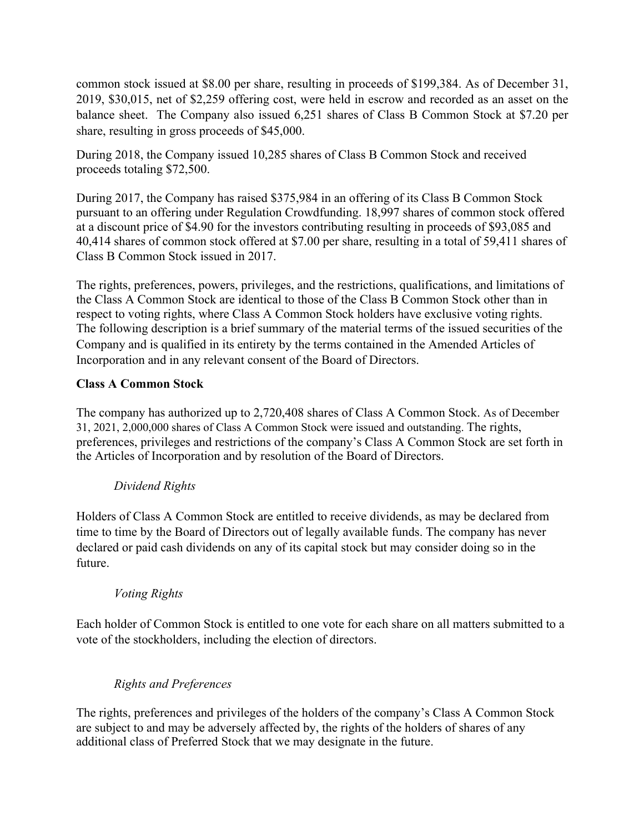common stock issued at \$8.00 per share, resulting in proceeds of \$199,384. As of December 31, 2019, \$30,015, net of \$2,259 offering cost, were held in escrow and recorded as an asset on the balance sheet. The Company also issued 6,251 shares of Class B Common Stock at \$7.20 per share, resulting in gross proceeds of \$45,000.

During 2018, the Company issued 10,285 shares of Class B Common Stock and received proceeds totaling \$72,500.

During 2017, the Company has raised \$375,984 in an offering of its Class B Common Stock pursuant to an offering under Regulation Crowdfunding. 18,997 shares of common stock offered at a discount price of \$4.90 for the investors contributing resulting in proceeds of \$93,085 and 40,414 shares of common stock offered at \$7.00 per share, resulting in a total of 59,411 shares of Class B Common Stock issued in 2017.

The rights, preferences, powers, privileges, and the restrictions, qualifications, and limitations of the Class A Common Stock are identical to those of the Class B Common Stock other than in respect to voting rights, where Class A Common Stock holders have exclusive voting rights. The following description is a brief summary of the material terms of the issued securities of the Company and is qualified in its entirety by the terms contained in the Amended Articles of Incorporation and in any relevant consent of the Board of Directors.

### **Class A Common Stock**

The company has authorized up to 2,720,408 shares of Class A Common Stock. As of December 31, 2021, 2,000,000 shares of Class A Common Stock were issued and outstanding. The rights, preferences, privileges and restrictions of the company's Class A Common Stock are set forth in the Articles of Incorporation and by resolution of the Board of Directors.

#### *Dividend Rights*

Holders of Class A Common Stock are entitled to receive dividends, as may be declared from time to time by the Board of Directors out of legally available funds. The company has never declared or paid cash dividends on any of its capital stock but may consider doing so in the future.

#### *Voting Rights*

Each holder of Common Stock is entitled to one vote for each share on all matters submitted to a vote of the stockholders, including the election of directors.

### *Rights and Preferences*

The rights, preferences and privileges of the holders of the company's Class A Common Stock are subject to and may be adversely affected by, the rights of the holders of shares of any additional class of Preferred Stock that we may designate in the future.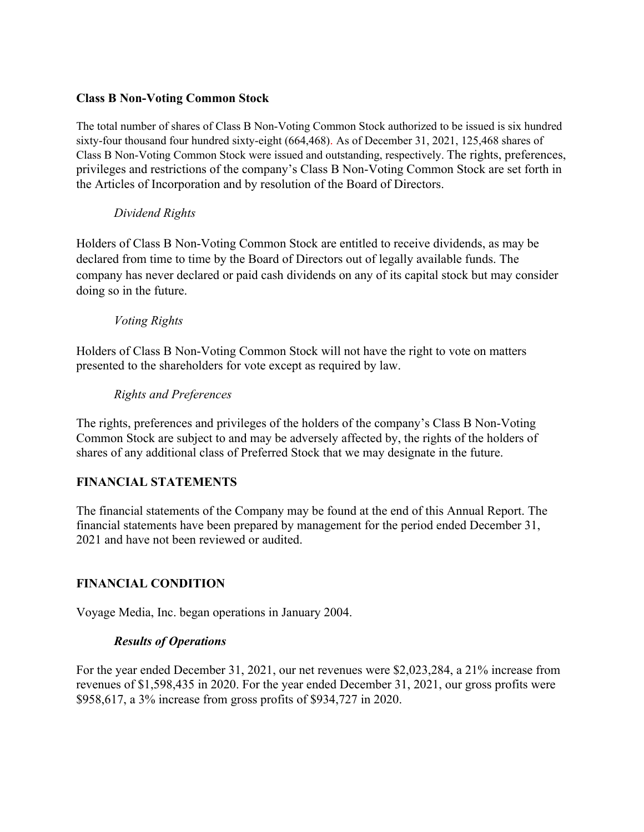#### **Class B Non-Voting Common Stock**

The total number of shares of Class B Non-Voting Common Stock authorized to be issued is six hundred sixty-four thousand four hundred sixty-eight (664,468). As of December 31, 2021, 125,468 shares of Class B Non-Voting Common Stock were issued and outstanding, respectively. The rights, preferences, privileges and restrictions of the company's Class B Non-Voting Common Stock are set forth in the Articles of Incorporation and by resolution of the Board of Directors.

#### *Dividend Rights*

Holders of Class B Non-Voting Common Stock are entitled to receive dividends, as may be declared from time to time by the Board of Directors out of legally available funds. The company has never declared or paid cash dividends on any of its capital stock but may consider doing so in the future.

#### *Voting Rights*

Holders of Class B Non-Voting Common Stock will not have the right to vote on matters presented to the shareholders for vote except as required by law.

#### *Rights and Preferences*

The rights, preferences and privileges of the holders of the company's Class B Non-Voting Common Stock are subject to and may be adversely affected by, the rights of the holders of shares of any additional class of Preferred Stock that we may designate in the future.

#### **FINANCIAL STATEMENTS**

The financial statements of the Company may be found at the end of this Annual Report. The financial statements have been prepared by management for the period ended December 31, 2021 and have not been reviewed or audited.

#### **FINANCIAL CONDITION**

Voyage Media, Inc. began operations in January 2004.

#### *Results of Operations*

For the year ended December 31, 2021, our net revenues were \$2,023,284, a 21% increase from revenues of \$1,598,435 in 2020. For the year ended December 31, 2021, our gross profits were \$958,617, a 3% increase from gross profits of \$934,727 in 2020.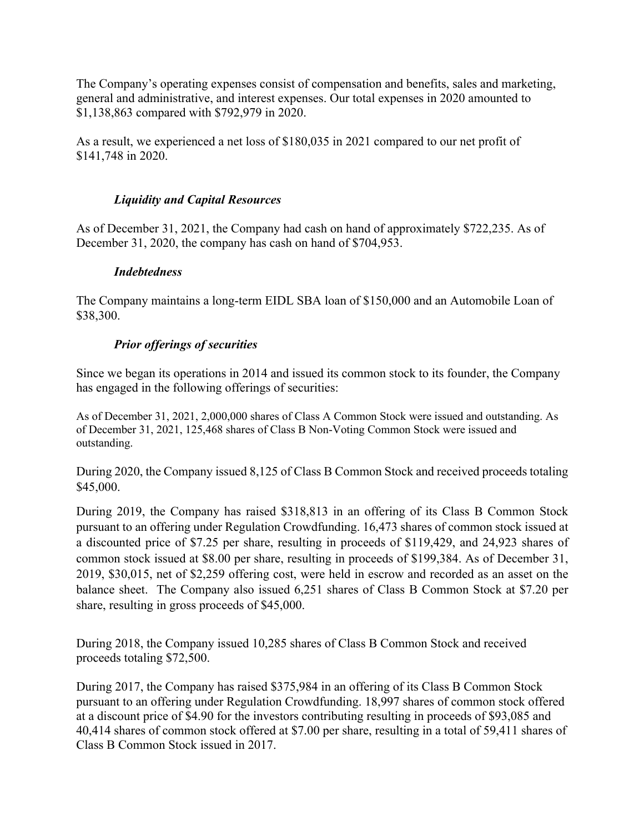The Company's operating expenses consist of compensation and benefits, sales and marketing, general and administrative, and interest expenses. Our total expenses in 2020 amounted to \$1,138,863 compared with \$792,979 in 2020.

As a result, we experienced a net loss of \$180,035 in 2021 compared to our net profit of \$141,748 in 2020.

### *Liquidity and Capital Resources*

As of December 31, 2021, the Company had cash on hand of approximately \$722,235. As of December 31, 2020, the company has cash on hand of \$704,953.

#### *Indebtedness*

The Company maintains a long-term EIDL SBA loan of \$150,000 and an Automobile Loan of \$38,300.

#### *Prior offerings of securities*

Since we began its operations in 2014 and issued its common stock to its founder, the Company has engaged in the following offerings of securities:

As of December 31, 2021, 2,000,000 shares of Class A Common Stock were issued and outstanding. As of December 31, 2021, 125,468 shares of Class B Non-Voting Common Stock were issued and outstanding.

During 2020, the Company issued 8,125 of Class B Common Stock and received proceeds totaling \$45,000.

During 2019, the Company has raised \$318,813 in an offering of its Class B Common Stock pursuant to an offering under Regulation Crowdfunding. 16,473 shares of common stock issued at a discounted price of \$7.25 per share, resulting in proceeds of \$119,429, and 24,923 shares of common stock issued at \$8.00 per share, resulting in proceeds of \$199,384. As of December 31, 2019, \$30,015, net of \$2,259 offering cost, were held in escrow and recorded as an asset on the balance sheet. The Company also issued 6,251 shares of Class B Common Stock at \$7.20 per share, resulting in gross proceeds of \$45,000.

During 2018, the Company issued 10,285 shares of Class B Common Stock and received proceeds totaling \$72,500.

During 2017, the Company has raised \$375,984 in an offering of its Class B Common Stock pursuant to an offering under Regulation Crowdfunding. 18,997 shares of common stock offered at a discount price of \$4.90 for the investors contributing resulting in proceeds of \$93,085 and 40,414 shares of common stock offered at \$7.00 per share, resulting in a total of 59,411 shares of Class B Common Stock issued in 2017.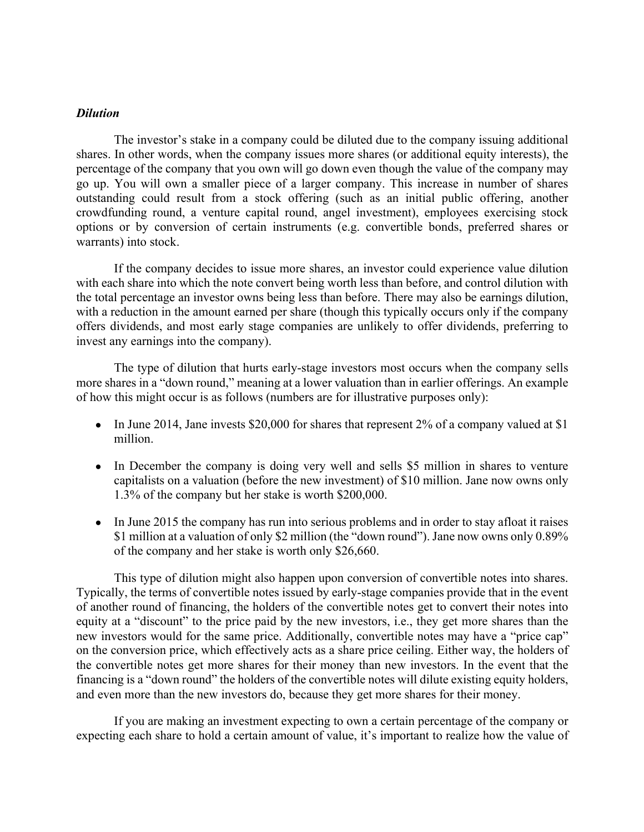#### *Dilution*

The investor's stake in a company could be diluted due to the company issuing additional shares. In other words, when the company issues more shares (or additional equity interests), the percentage of the company that you own will go down even though the value of the company may go up. You will own a smaller piece of a larger company. This increase in number of shares outstanding could result from a stock offering (such as an initial public offering, another crowdfunding round, a venture capital round, angel investment), employees exercising stock options or by conversion of certain instruments (e.g. convertible bonds, preferred shares or warrants) into stock.

If the company decides to issue more shares, an investor could experience value dilution with each share into which the note convert being worth less than before, and control dilution with the total percentage an investor owns being less than before. There may also be earnings dilution, with a reduction in the amount earned per share (though this typically occurs only if the company offers dividends, and most early stage companies are unlikely to offer dividends, preferring to invest any earnings into the company).

The type of dilution that hurts early-stage investors most occurs when the company sells more shares in a "down round," meaning at a lower valuation than in earlier offerings. An example of how this might occur is as follows (numbers are for illustrative purposes only):

- In June 2014, Jane invests \$20,000 for shares that represent 2% of a company valued at \$1 million.
- In December the company is doing very well and sells \$5 million in shares to venture capitalists on a valuation (before the new investment) of \$10 million. Jane now owns only 1.3% of the company but her stake is worth \$200,000.
- In June 2015 the company has run into serious problems and in order to stay afloat it raises \$1 million at a valuation of only \$2 million (the "down round"). Jane now owns only 0.89% of the company and her stake is worth only \$26,660.

This type of dilution might also happen upon conversion of convertible notes into shares. Typically, the terms of convertible notes issued by early-stage companies provide that in the event of another round of financing, the holders of the convertible notes get to convert their notes into equity at a "discount" to the price paid by the new investors, i.e., they get more shares than the new investors would for the same price. Additionally, convertible notes may have a "price cap" on the conversion price, which effectively acts as a share price ceiling. Either way, the holders of the convertible notes get more shares for their money than new investors. In the event that the financing is a "down round" the holders of the convertible notes will dilute existing equity holders, and even more than the new investors do, because they get more shares for their money.

If you are making an investment expecting to own a certain percentage of the company or expecting each share to hold a certain amount of value, it's important to realize how the value of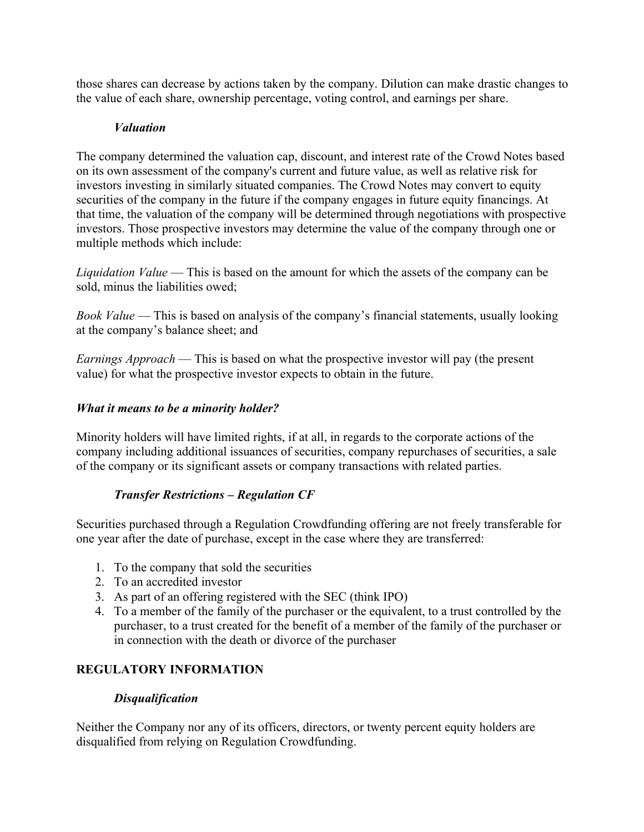those shares can decrease by actions taken by the company. Dilution can make drastic changes to the value of each share, ownership percentage, voting control, and earnings per share.

### *Valuation*

The company determined the valuation cap, discount, and interest rate of the Crowd Notes based on its own assessment of the company's current and future value, as well as relative risk for investors investing in similarly situated companies. The Crowd Notes may convert to equity securities of the company in the future if the company engages in future equity financings. At that time, the valuation of the company will be determined through negotiations with prospective investors. Those prospective investors may determine the value of the company through one or multiple methods which include:

*Liquidation Value* — This is based on the amount for which the assets of the company can be sold, minus the liabilities owed;

*Book Value* — This is based on analysis of the company's financial statements, usually looking at the company's balance sheet; and

*Earnings Approach* — This is based on what the prospective investor will pay (the present value) for what the prospective investor expects to obtain in the future.

### *What it means to be a minority holder?*

Minority holders will have limited rights, if at all, in regards to the corporate actions of the company including additional issuances of securities, company repurchases of securities, a sale of the company or its significant assets or company transactions with related parties.

### *Transfer Restrictions – Regulation CF*

Securities purchased through a Regulation Crowdfunding offering are not freely transferable for one year after the date of purchase, except in the case where they are transferred:

- 1. To the company that sold the securities
- 2. To an accredited investor
- 3. As part of an offering registered with the SEC (think IPO)
- 4. To a member of the family of the purchaser or the equivalent, to a trust controlled by the purchaser, to a trust created for the benefit of a member of the family of the purchaser or in connection with the death or divorce of the purchaser

### **REGULATORY INFORMATION**

#### *Disqualification*

Neither the Company nor any of its officers, directors, or twenty percent equity holders are disqualified from relying on Regulation Crowdfunding.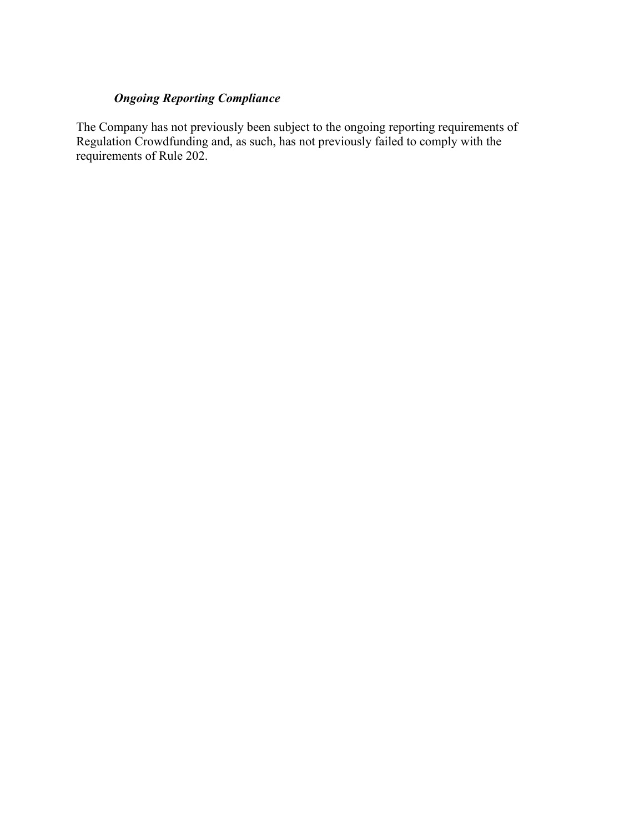### *Ongoing Reporting Compliance*

The Company has not previously been subject to the ongoing reporting requirements of Regulation Crowdfunding and, as such, has not previously failed to comply with the requirements of Rule 202.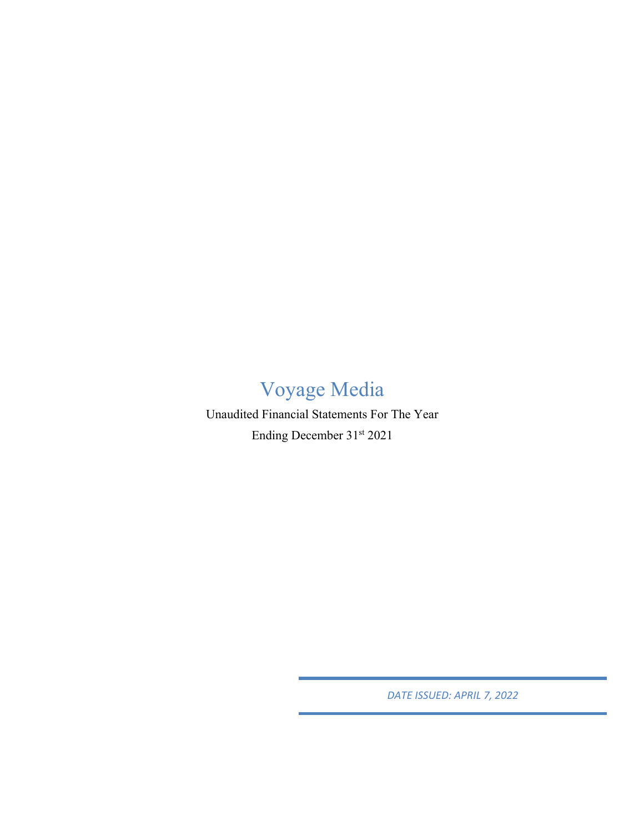# Voyage Media

Unaudited Financial Statements For The Year Ending December 31st 2021

*DATE ISSUED: APRIL 7, 2022*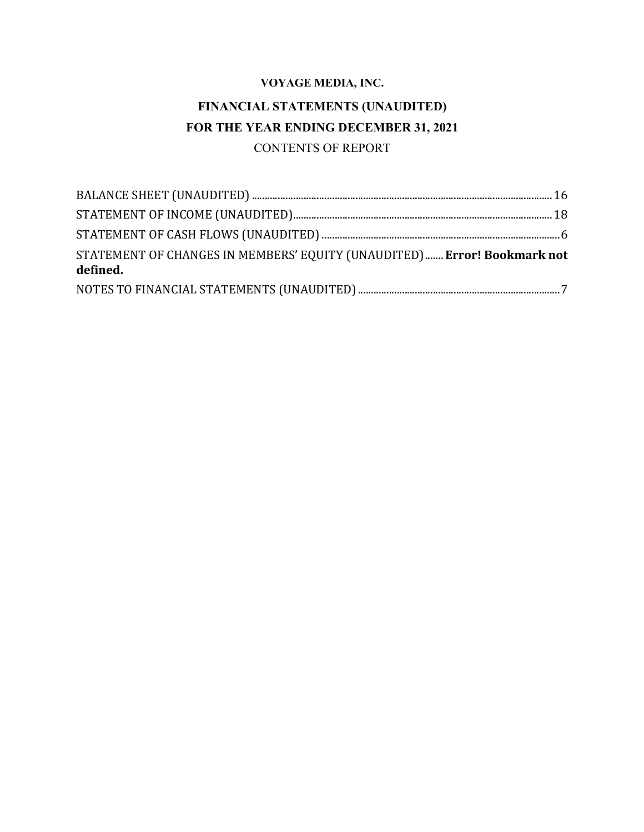# **FINANCIAL STATEMENTS (UNAUDITED) FOR THE YEAR ENDING DECEMBER 31, 2021** CONTENTS OF REPORT

| STATEMENT OF CHANGES IN MEMBERS' EQUITY (UNAUDITED) Error! Bookmark not<br>defined. |  |
|-------------------------------------------------------------------------------------|--|
|                                                                                     |  |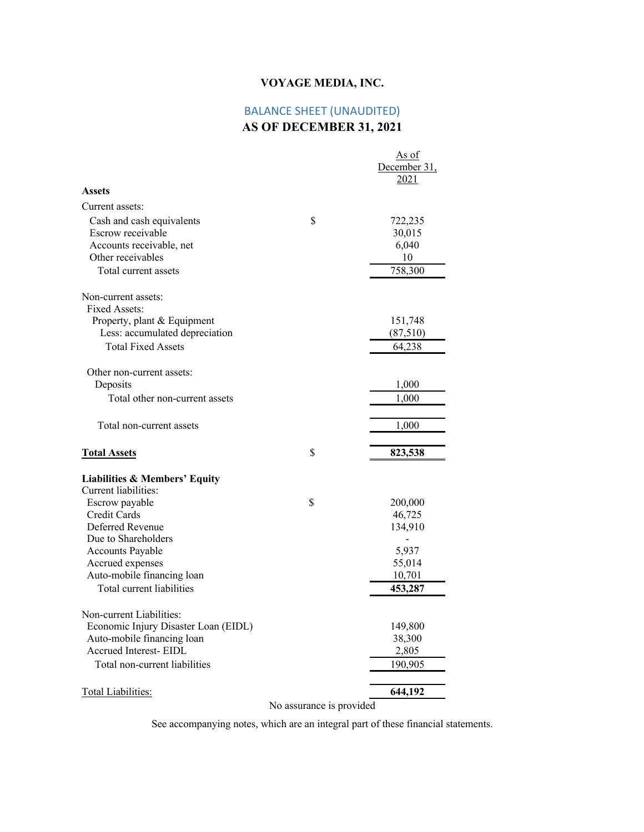# BALANCE SHEET (UNAUDITED)

# **AS OF DECEMBER 31, 2021**

|                                                                                                                         |                          | As of<br>December 31,<br>2021               |
|-------------------------------------------------------------------------------------------------------------------------|--------------------------|---------------------------------------------|
| <b>Assets</b>                                                                                                           |                          |                                             |
| Current assets:                                                                                                         |                          |                                             |
| Cash and cash equivalents<br>Escrow receivable<br>Accounts receivable, net<br>Other receivables<br>Total current assets | \$                       | 722,235<br>30,015<br>6,040<br>10<br>758,300 |
| Non-current assets:<br>Fixed Assets:                                                                                    |                          |                                             |
| Property, plant & Equipment<br>Less: accumulated depreciation<br><b>Total Fixed Assets</b>                              |                          | 151,748<br>(87,510)<br>64,238               |
| Other non-current assets:                                                                                               |                          |                                             |
| Deposits<br>Total other non-current assets                                                                              |                          | 1,000<br>1,000                              |
| Total non-current assets                                                                                                |                          | 1,000                                       |
| <b>Total Assets</b>                                                                                                     | \$                       | 823,538                                     |
| <b>Liabilities &amp; Members' Equity</b><br>Current liabilities:                                                        |                          |                                             |
| Escrow payable<br>Credit Cards<br>Deferred Revenue                                                                      | \$                       | 200,000<br>46,725<br>134,910                |
| Due to Shareholders<br><b>Accounts Payable</b><br>Accrued expenses                                                      |                          | 5,937<br>55,014                             |
| Auto-mobile financing loan<br>Total current liabilities                                                                 |                          | 10,701<br>453,287                           |
| Non-current Liabilities:<br>Economic Injury Disaster Loan (EIDL)                                                        |                          | 149,800                                     |
| Auto-mobile financing loan<br>Accrued Interest- EIDL                                                                    |                          | 38,300<br>2,805                             |
| Total non-current liabilities                                                                                           |                          | 190,905                                     |
| <b>Total Liabilities:</b>                                                                                               | No assurance is provided | 644,192                                     |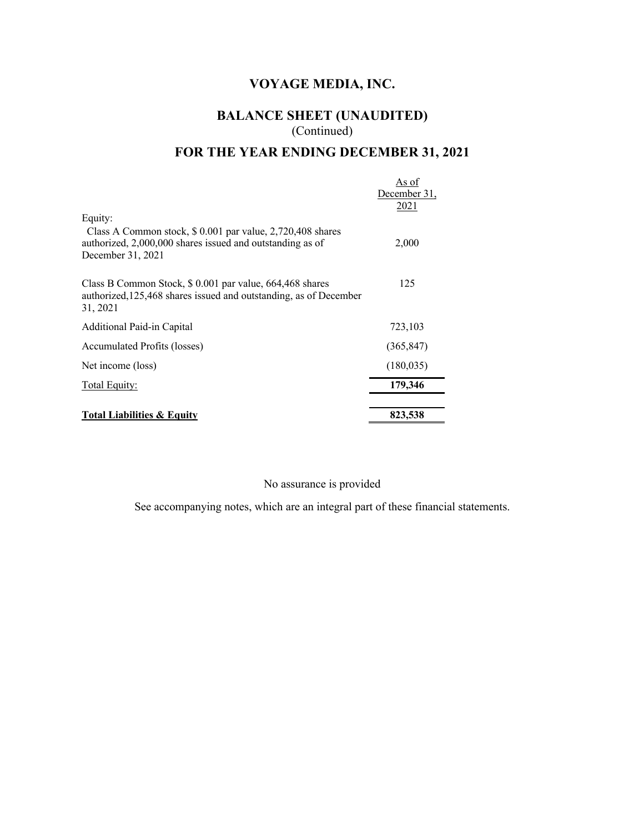# **BALANCE SHEET (UNAUDITED)** (Continued)

# **FOR THE YEAR ENDING DECEMBER 31, 2021**

| <b>Total Liabilities &amp; Equity</b>                                                                                                                   | 823,538                       |
|---------------------------------------------------------------------------------------------------------------------------------------------------------|-------------------------------|
| Total Equity:                                                                                                                                           | 179,346                       |
| Net income (loss)                                                                                                                                       | (180, 035)                    |
| Accumulated Profits (losses)                                                                                                                            | (365, 847)                    |
| Additional Paid-in Capital                                                                                                                              | 723,103                       |
| Class B Common Stock, \$ 0.001 par value, 664, 468 shares<br>authorized, 125, 468 shares issued and outstanding, as of December<br>31, 2021             | 125                           |
| Equity:<br>Class A Common stock, \$ 0.001 par value, 2,720,408 shares<br>authorized, 2,000,000 shares issued and outstanding as of<br>December 31, 2021 | 2,000                         |
|                                                                                                                                                         | As of<br>December 31,<br>2021 |

#### No assurance is provided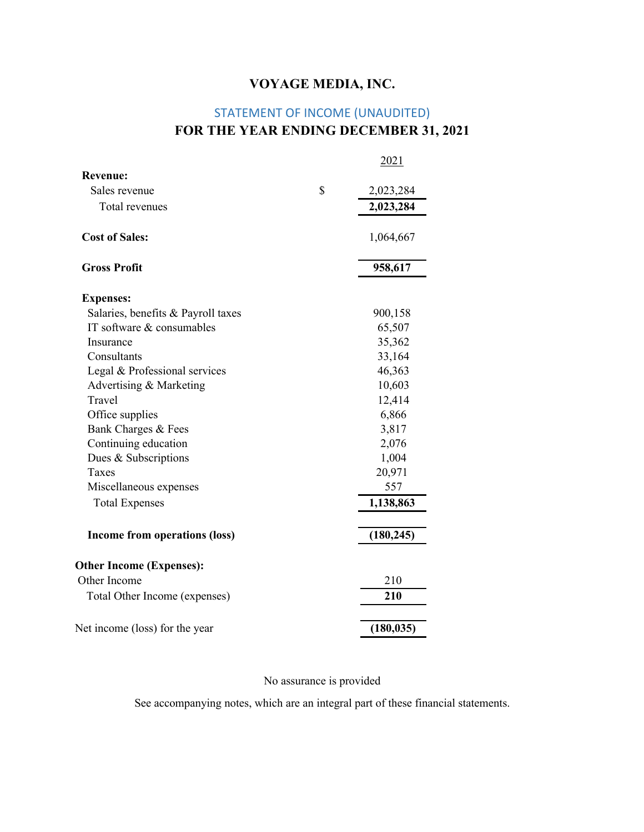# STATEMENT OF INCOME (UNAUDITED) **FOR THE YEAR ENDING DECEMBER 31, 2021**

|                                    | 2021            |
|------------------------------------|-----------------|
| <b>Revenue:</b>                    |                 |
| Sales revenue                      | \$<br>2,023,284 |
| Total revenues                     | 2,023,284       |
| <b>Cost of Sales:</b>              | 1,064,667       |
| <b>Gross Profit</b>                | 958,617         |
| <b>Expenses:</b>                   |                 |
| Salaries, benefits & Payroll taxes | 900,158         |
| IT software & consumables          | 65,507          |
| Insurance                          | 35,362          |
| Consultants                        | 33,164          |
| Legal & Professional services      | 46,363          |
| Advertising & Marketing            | 10,603          |
| Travel                             | 12,414          |
| Office supplies                    | 6,866           |
| Bank Charges & Fees                | 3,817           |
| Continuing education               | 2,076           |
| Dues & Subscriptions               | 1,004           |
| Taxes                              | 20,971          |
| Miscellaneous expenses             | 557             |
| <b>Total Expenses</b>              | 1,138,863       |
| Income from operations (loss)      | (180, 245)      |
| <b>Other Income (Expenses):</b>    |                 |
| Other Income                       | 210             |
| Total Other Income (expenses)      | 210             |
| Net income (loss) for the year     | (180, 035)      |
|                                    |                 |

#### No assurance is provided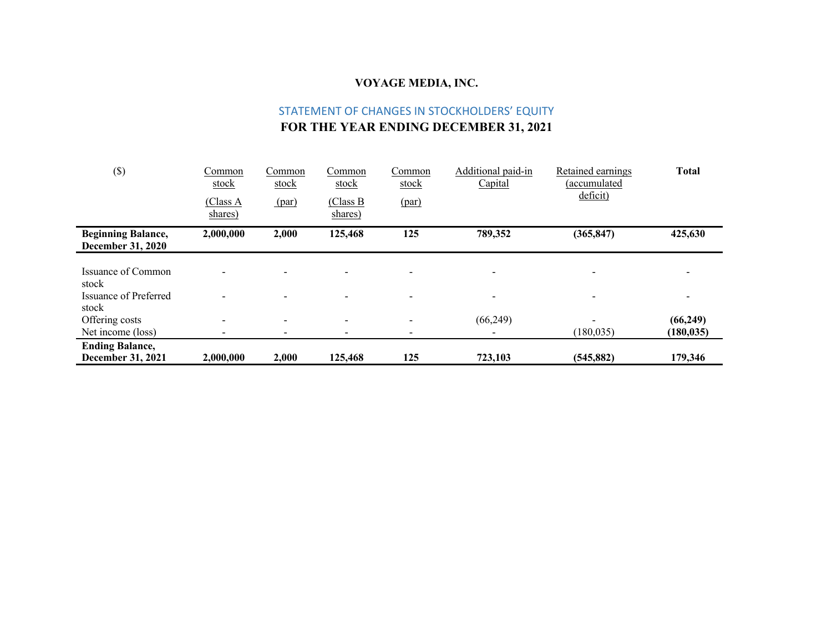# STATEMENT OF CHANGES IN STOCKHOLDERS' EQUITY **FOR THE YEAR ENDING DECEMBER 31, 2021**

| $(\$)$                                                | Common<br>stock          | Common<br>stock          | Common<br>stock          | Common<br>stock          | Additional paid-in<br>Capital | Retained earnings<br>(accumulated | <b>Total</b> |
|-------------------------------------------------------|--------------------------|--------------------------|--------------------------|--------------------------|-------------------------------|-----------------------------------|--------------|
|                                                       | (Class A<br>shares)      | (par)                    | (Class B)<br>shares)     | (par)                    |                               | deficit)                          |              |
| <b>Beginning Balance,</b><br><b>December 31, 2020</b> | 2,000,000                | 2,000                    | 125,468                  | 125                      | 789,352                       | (365, 847)                        | 425,630      |
| Issuance of Common<br>stock                           |                          |                          | $\overline{\phantom{0}}$ | $\blacksquare$           |                               | $\overline{\phantom{a}}$          | -            |
| <b>Issuance of Preferred</b><br>stock                 |                          |                          |                          | $\overline{\phantom{0}}$ | -                             | $\overline{\phantom{a}}$          | -            |
| Offering costs                                        | $\overline{\phantom{a}}$ | $\overline{\phantom{a}}$ | $\overline{\phantom{a}}$ | $\blacksquare$           | (66,249)                      | $\overline{\phantom{0}}$          | (66, 249)    |
| Net income (loss)                                     |                          |                          |                          | $\overline{\phantom{a}}$ |                               | (180, 035)                        | (180, 035)   |
| <b>Ending Balance,</b>                                |                          |                          |                          |                          |                               |                                   |              |
| December 31, 2021                                     | 2,000,000                | 2,000                    | 125,468                  | 125                      | 723,103                       | (545, 882)                        | 179,346      |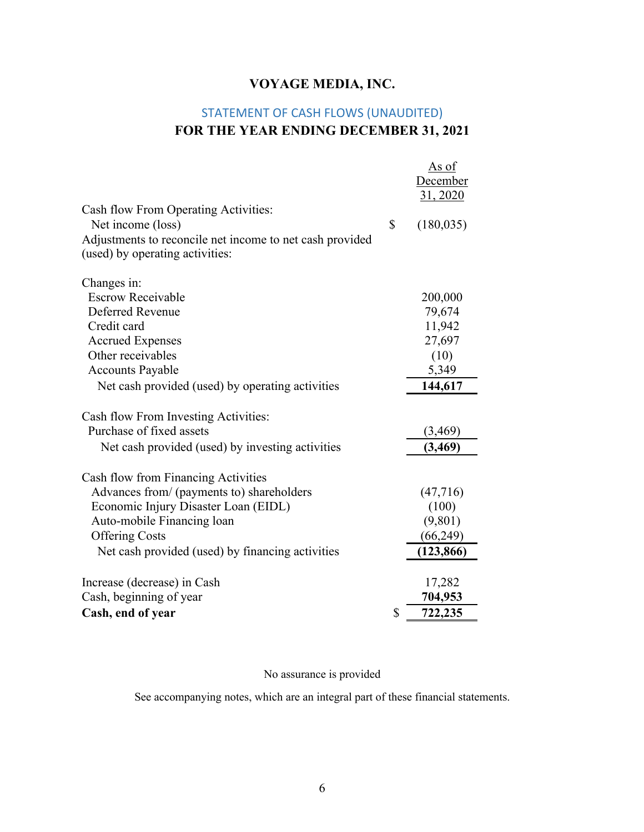# STATEMENT OF CASH FLOWS (UNAUDITED) **FOR THE YEAR ENDING DECEMBER 31, 2021**

|                                                          | <u>As of</u><br>December |
|----------------------------------------------------------|--------------------------|
|                                                          | 31, 2020                 |
| Cash flow From Operating Activities:                     |                          |
| Net income (loss)                                        | \$<br>(180, 035)         |
| Adjustments to reconcile net income to net cash provided |                          |
| (used) by operating activities:                          |                          |
| Changes in:                                              |                          |
| <b>Escrow Receivable</b>                                 | 200,000                  |
| Deferred Revenue                                         | 79,674                   |
| Credit card                                              | 11,942                   |
| <b>Accrued Expenses</b>                                  | 27,697                   |
| Other receivables                                        | (10)                     |
| <b>Accounts Payable</b>                                  | 5,349                    |
| Net cash provided (used) by operating activities         | 144,617                  |
| Cash flow From Investing Activities:                     |                          |
| Purchase of fixed assets                                 | (3, 469)                 |
| Net cash provided (used) by investing activities         | (3, 469)                 |
| Cash flow from Financing Activities                      |                          |
| Advances from/ (payments to) shareholders                | (47,716)                 |
| Economic Injury Disaster Loan (EIDL)                     | (100)                    |
| Auto-mobile Financing loan                               | (9,801)                  |
| <b>Offering Costs</b>                                    | (66,249)                 |
| Net cash provided (used) by financing activities         | (123, 866)               |
| Increase (decrease) in Cash                              | 17,282                   |
| Cash, beginning of year                                  | 704,953                  |
| Cash, end of year                                        | \$<br>722,235            |

### No assurance is provided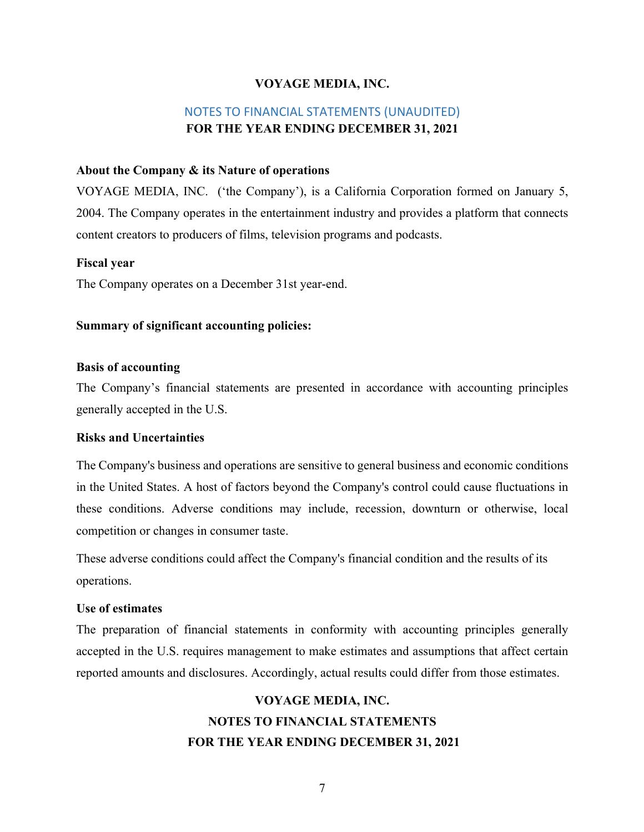### NOTES TO FINANCIAL STATEMENTS (UNAUDITED) **FOR THE YEAR ENDING DECEMBER 31, 2021**

#### **About the Company & its Nature of operations**

VOYAGE MEDIA, INC. ('the Company'), is a California Corporation formed on January 5, 2004. The Company operates in the entertainment industry and provides a platform that connects content creators to producers of films, television programs and podcasts.

#### **Fiscal year**

The Company operates on a December 31st year-end.

#### **Summary of significant accounting policies:**

#### **Basis of accounting**

The Company's financial statements are presented in accordance with accounting principles generally accepted in the U.S.

#### **Risks and Uncertainties**

The Company's business and operations are sensitive to general business and economic conditions in the United States. A host of factors beyond the Company's control could cause fluctuations in these conditions. Adverse conditions may include, recession, downturn or otherwise, local competition or changes in consumer taste.

These adverse conditions could affect the Company's financial condition and the results of its operations.

#### **Use of estimates**

The preparation of financial statements in conformity with accounting principles generally accepted in the U.S. requires management to make estimates and assumptions that affect certain reported amounts and disclosures. Accordingly, actual results could differ from those estimates.

# **VOYAGE MEDIA, INC. NOTES TO FINANCIAL STATEMENTS FOR THE YEAR ENDING DECEMBER 31, 2021**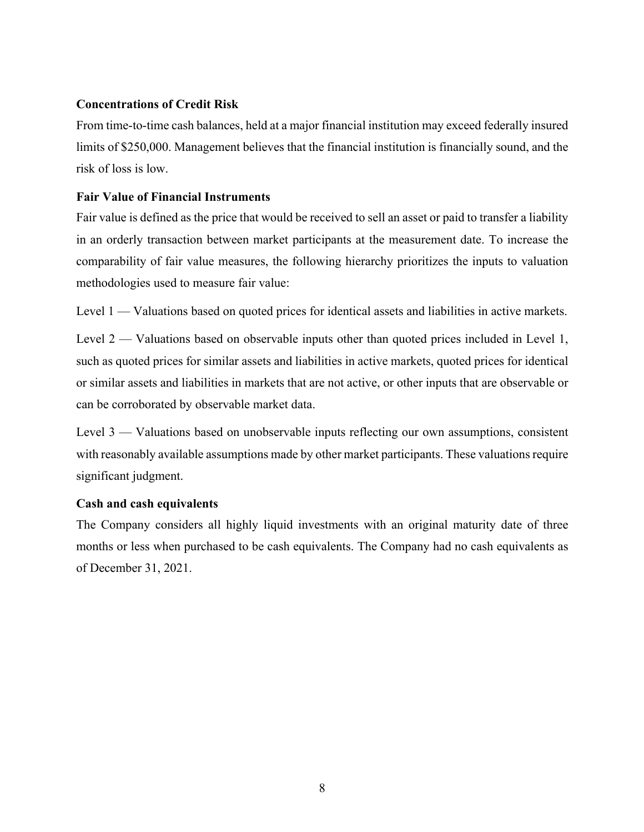#### **Concentrations of Credit Risk**

From time-to-time cash balances, held at a major financial institution may exceed federally insured limits of \$250,000. Management believes that the financial institution is financially sound, and the risk of loss is low.

#### **Fair Value of Financial Instruments**

Fair value is defined as the price that would be received to sell an asset or paid to transfer a liability in an orderly transaction between market participants at the measurement date. To increase the comparability of fair value measures, the following hierarchy prioritizes the inputs to valuation methodologies used to measure fair value:

Level 1 — Valuations based on quoted prices for identical assets and liabilities in active markets.

Level 2 — Valuations based on observable inputs other than quoted prices included in Level 1, such as quoted prices for similar assets and liabilities in active markets, quoted prices for identical or similar assets and liabilities in markets that are not active, or other inputs that are observable or can be corroborated by observable market data.

Level 3 — Valuations based on unobservable inputs reflecting our own assumptions, consistent with reasonably available assumptions made by other market participants. These valuations require significant judgment.

#### **Cash and cash equivalents**

The Company considers all highly liquid investments with an original maturity date of three months or less when purchased to be cash equivalents. The Company had no cash equivalents as of December 31, 2021.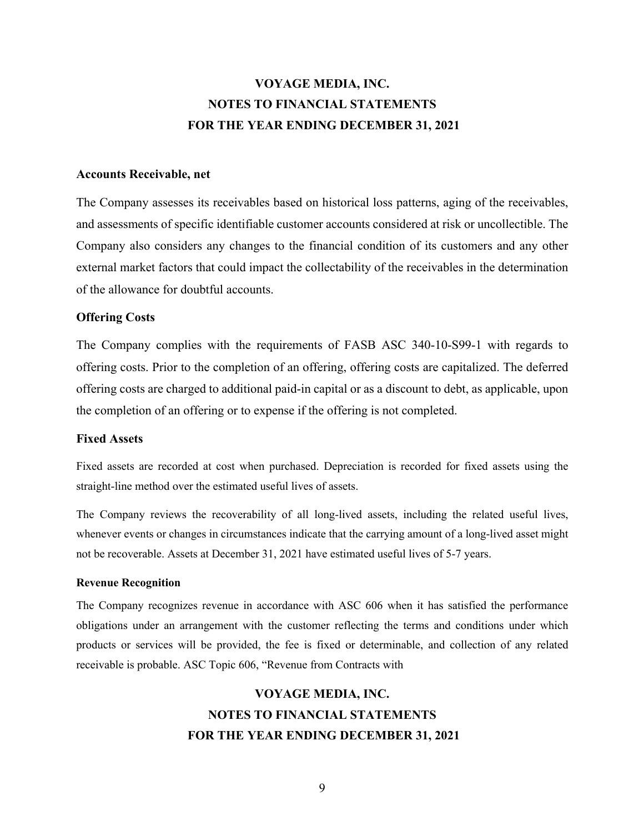# **VOYAGE MEDIA, INC. NOTES TO FINANCIAL STATEMENTS FOR THE YEAR ENDING DECEMBER 31, 2021**

#### **Accounts Receivable, net**

The Company assesses its receivables based on historical loss patterns, aging of the receivables, and assessments of specific identifiable customer accounts considered at risk or uncollectible. The Company also considers any changes to the financial condition of its customers and any other external market factors that could impact the collectability of the receivables in the determination of the allowance for doubtful accounts.

#### **Offering Costs**

The Company complies with the requirements of FASB ASC 340-10-S99-1 with regards to offering costs. Prior to the completion of an offering, offering costs are capitalized. The deferred offering costs are charged to additional paid-in capital or as a discount to debt, as applicable, upon the completion of an offering or to expense if the offering is not completed.

#### **Fixed Assets**

Fixed assets are recorded at cost when purchased. Depreciation is recorded for fixed assets using the straight-line method over the estimated useful lives of assets.

The Company reviews the recoverability of all long-lived assets, including the related useful lives, whenever events or changes in circumstances indicate that the carrying amount of a long-lived asset might not be recoverable. Assets at December 31, 2021 have estimated useful lives of 5-7 years.

#### **Revenue Recognition**

The Company recognizes revenue in accordance with ASC 606 when it has satisfied the performance obligations under an arrangement with the customer reflecting the terms and conditions under which products or services will be provided, the fee is fixed or determinable, and collection of any related receivable is probable. ASC Topic 606, "Revenue from Contracts with

# **VOYAGE MEDIA, INC. NOTES TO FINANCIAL STATEMENTS FOR THE YEAR ENDING DECEMBER 31, 2021**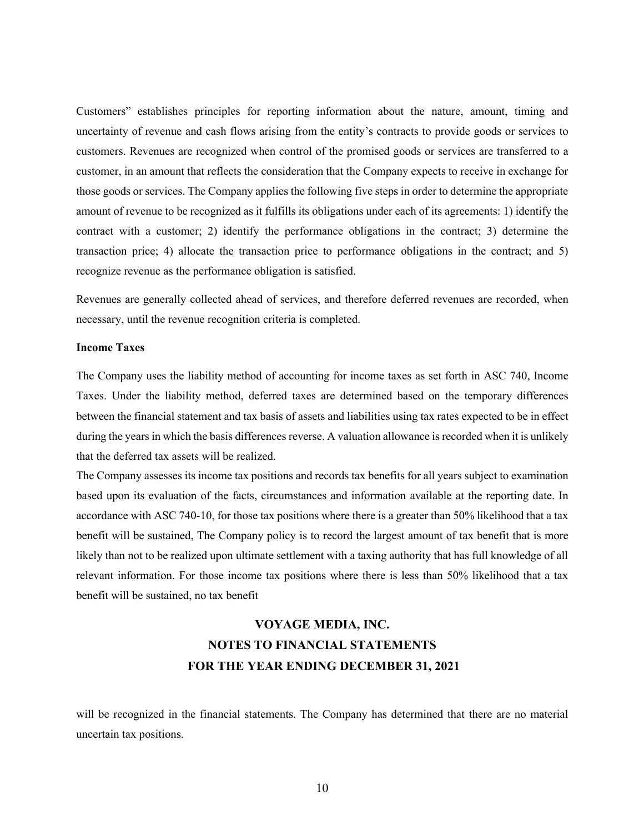Customers" establishes principles for reporting information about the nature, amount, timing and uncertainty of revenue and cash flows arising from the entity's contracts to provide goods or services to customers. Revenues are recognized when control of the promised goods or services are transferred to a customer, in an amount that reflects the consideration that the Company expects to receive in exchange for those goods or services. The Company applies the following five steps in order to determine the appropriate amount of revenue to be recognized as it fulfills its obligations under each of its agreements: 1) identify the contract with a customer; 2) identify the performance obligations in the contract; 3) determine the transaction price; 4) allocate the transaction price to performance obligations in the contract; and 5) recognize revenue as the performance obligation is satisfied.

Revenues are generally collected ahead of services, and therefore deferred revenues are recorded, when necessary, until the revenue recognition criteria is completed.

#### **Income Taxes**

The Company uses the liability method of accounting for income taxes as set forth in ASC 740, Income Taxes. Under the liability method, deferred taxes are determined based on the temporary differences between the financial statement and tax basis of assets and liabilities using tax rates expected to be in effect during the years in which the basis differences reverse. A valuation allowance is recorded when it is unlikely that the deferred tax assets will be realized.

The Company assesses its income tax positions and records tax benefits for all years subject to examination based upon its evaluation of the facts, circumstances and information available at the reporting date. In accordance with ASC 740-10, for those tax positions where there is a greater than 50% likelihood that a tax benefit will be sustained, The Company policy is to record the largest amount of tax benefit that is more likely than not to be realized upon ultimate settlement with a taxing authority that has full knowledge of all relevant information. For those income tax positions where there is less than 50% likelihood that a tax benefit will be sustained, no tax benefit

# **VOYAGE MEDIA, INC. NOTES TO FINANCIAL STATEMENTS FOR THE YEAR ENDING DECEMBER 31, 2021**

will be recognized in the financial statements. The Company has determined that there are no material uncertain tax positions.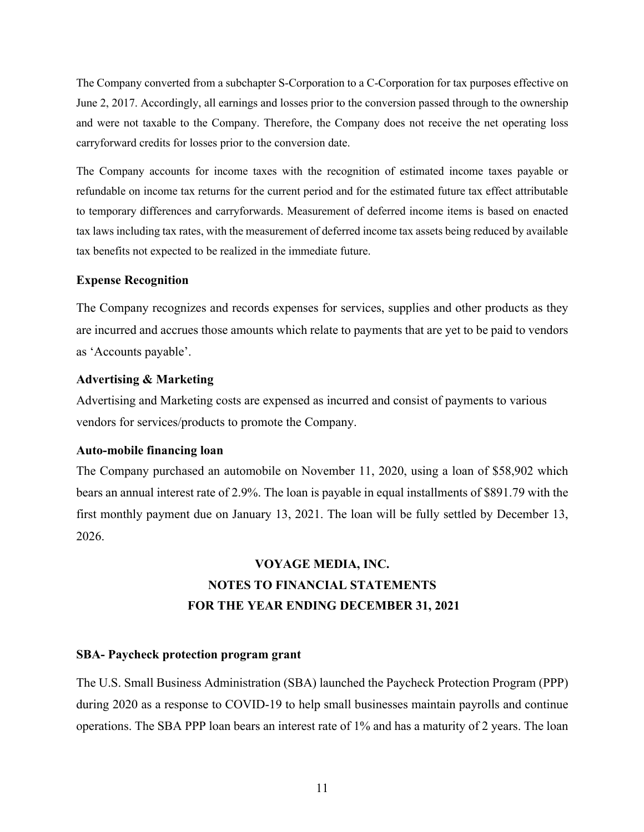The Company converted from a subchapter S-Corporation to a C-Corporation for tax purposes effective on June 2, 2017. Accordingly, all earnings and losses prior to the conversion passed through to the ownership and were not taxable to the Company. Therefore, the Company does not receive the net operating loss carryforward credits for losses prior to the conversion date.

The Company accounts for income taxes with the recognition of estimated income taxes payable or refundable on income tax returns for the current period and for the estimated future tax effect attributable to temporary differences and carryforwards. Measurement of deferred income items is based on enacted tax laws including tax rates, with the measurement of deferred income tax assets being reduced by available tax benefits not expected to be realized in the immediate future.

#### **Expense Recognition**

The Company recognizes and records expenses for services, supplies and other products as they are incurred and accrues those amounts which relate to payments that are yet to be paid to vendors as 'Accounts payable'.

#### **Advertising & Marketing**

Advertising and Marketing costs are expensed as incurred and consist of payments to various vendors for services/products to promote the Company.

#### **Auto-mobile financing loan**

The Company purchased an automobile on November 11, 2020, using a loan of \$58,902 which bears an annual interest rate of 2.9%. The loan is payable in equal installments of \$891.79 with the first monthly payment due on January 13, 2021. The loan will be fully settled by December 13, 2026.

# **VOYAGE MEDIA, INC. NOTES TO FINANCIAL STATEMENTS FOR THE YEAR ENDING DECEMBER 31, 2021**

#### **SBA- Paycheck protection program grant**

The U.S. Small Business Administration (SBA) launched the Paycheck Protection Program (PPP) during 2020 as a response to COVID-19 to help small businesses maintain payrolls and continue operations. The SBA PPP loan bears an interest rate of 1% and has a maturity of 2 years. The loan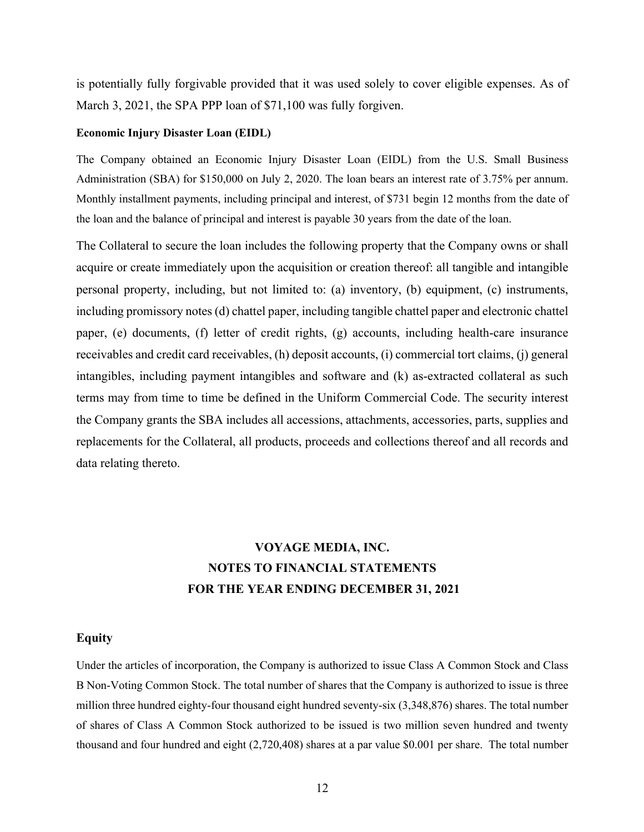is potentially fully forgivable provided that it was used solely to cover eligible expenses. As of March 3, 2021, the SPA PPP loan of \$71,100 was fully forgiven.

#### **Economic Injury Disaster Loan (EIDL)**

The Company obtained an Economic Injury Disaster Loan (EIDL) from the U.S. Small Business Administration (SBA) for \$150,000 on July 2, 2020. The loan bears an interest rate of 3.75% per annum. Monthly installment payments, including principal and interest, of \$731 begin 12 months from the date of the loan and the balance of principal and interest is payable 30 years from the date of the loan.

The Collateral to secure the loan includes the following property that the Company owns or shall acquire or create immediately upon the acquisition or creation thereof: all tangible and intangible personal property, including, but not limited to: (a) inventory, (b) equipment, (c) instruments, including promissory notes (d) chattel paper, including tangible chattel paper and electronic chattel paper, (e) documents, (f) letter of credit rights, (g) accounts, including health-care insurance receivables and credit card receivables, (h) deposit accounts, (i) commercial tort claims, (j) general intangibles, including payment intangibles and software and (k) as-extracted collateral as such terms may from time to time be defined in the Uniform Commercial Code. The security interest the Company grants the SBA includes all accessions, attachments, accessories, parts, supplies and replacements for the Collateral, all products, proceeds and collections thereof and all records and data relating thereto.

# **VOYAGE MEDIA, INC. NOTES TO FINANCIAL STATEMENTS FOR THE YEAR ENDING DECEMBER 31, 2021**

#### **Equity**

Under the articles of incorporation, the Company is authorized to issue Class A Common Stock and Class B Non-Voting Common Stock. The total number of shares that the Company is authorized to issue is three million three hundred eighty-four thousand eight hundred seventy-six (3,348,876) shares. The total number of shares of Class A Common Stock authorized to be issued is two million seven hundred and twenty thousand and four hundred and eight (2,720,408) shares at a par value \$0.001 per share. The total number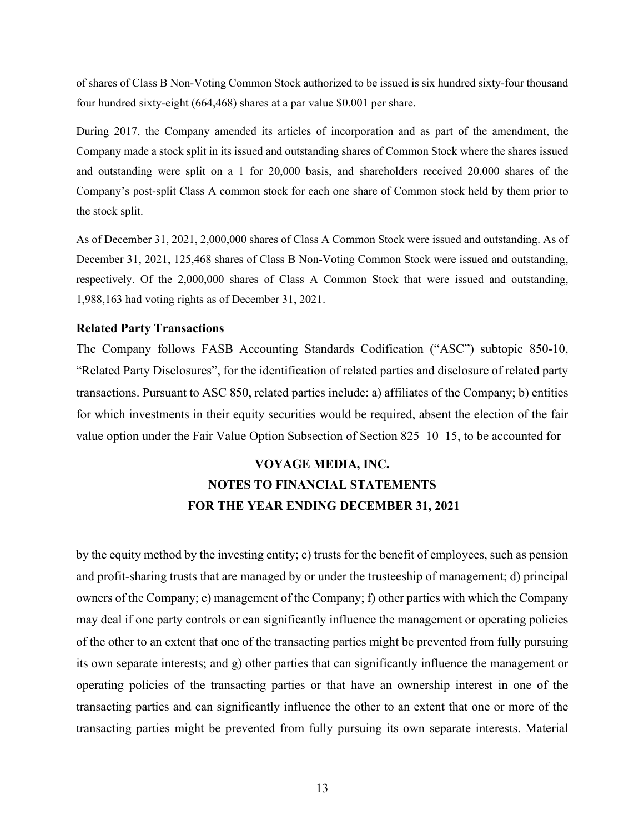of shares of Class B Non-Voting Common Stock authorized to be issued is six hundred sixty-four thousand four hundred sixty-eight (664,468) shares at a par value \$0.001 per share.

During 2017, the Company amended its articles of incorporation and as part of the amendment, the Company made a stock split in its issued and outstanding shares of Common Stock where the shares issued and outstanding were split on a 1 for 20,000 basis, and shareholders received 20,000 shares of the Company's post-split Class A common stock for each one share of Common stock held by them prior to the stock split.

As of December 31, 2021, 2,000,000 shares of Class A Common Stock were issued and outstanding. As of December 31, 2021, 125,468 shares of Class B Non-Voting Common Stock were issued and outstanding, respectively. Of the 2,000,000 shares of Class A Common Stock that were issued and outstanding, 1,988,163 had voting rights as of December 31, 2021.

#### **Related Party Transactions**

The Company follows FASB Accounting Standards Codification ("ASC") subtopic 850-10, "Related Party Disclosures", for the identification of related parties and disclosure of related party transactions. Pursuant to ASC 850, related parties include: a) affiliates of the Company; b) entities for which investments in their equity securities would be required, absent the election of the fair value option under the Fair Value Option Subsection of Section 825–10–15, to be accounted for

# **VOYAGE MEDIA, INC. NOTES TO FINANCIAL STATEMENTS FOR THE YEAR ENDING DECEMBER 31, 2021**

by the equity method by the investing entity; c) trusts for the benefit of employees, such as pension and profit-sharing trusts that are managed by or under the trusteeship of management; d) principal owners of the Company; e) management of the Company; f) other parties with which the Company may deal if one party controls or can significantly influence the management or operating policies of the other to an extent that one of the transacting parties might be prevented from fully pursuing its own separate interests; and g) other parties that can significantly influence the management or operating policies of the transacting parties or that have an ownership interest in one of the transacting parties and can significantly influence the other to an extent that one or more of the transacting parties might be prevented from fully pursuing its own separate interests. Material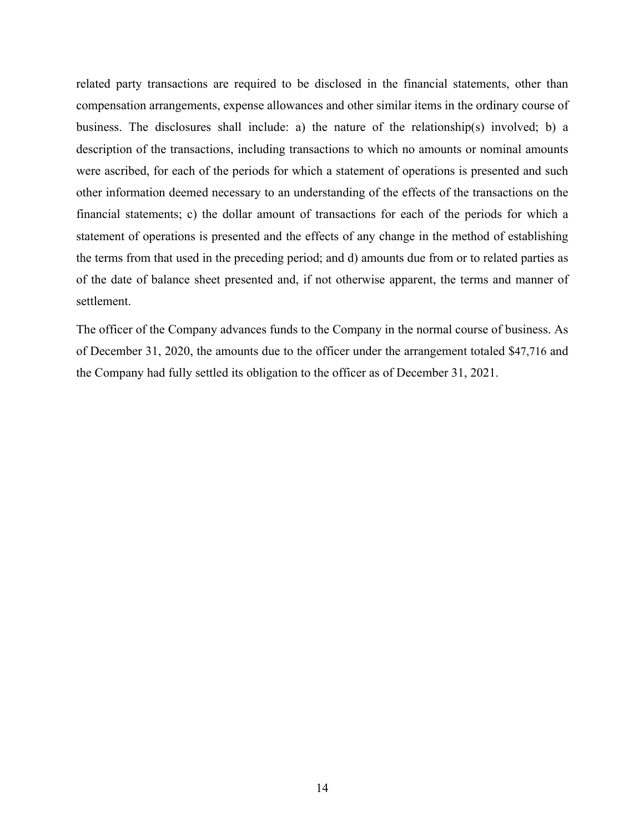related party transactions are required to be disclosed in the financial statements, other than compensation arrangements, expense allowances and other similar items in the ordinary course of business. The disclosures shall include: a) the nature of the relationship(s) involved; b) a description of the transactions, including transactions to which no amounts or nominal amounts were ascribed, for each of the periods for which a statement of operations is presented and such other information deemed necessary to an understanding of the effects of the transactions on the financial statements; c) the dollar amount of transactions for each of the periods for which a statement of operations is presented and the effects of any change in the method of establishing the terms from that used in the preceding period; and d) amounts due from or to related parties as of the date of balance sheet presented and, if not otherwise apparent, the terms and manner of settlement.

The officer of the Company advances funds to the Company in the normal course of business. As of December 31, 2020, the amounts due to the officer under the arrangement totaled \$47,716 and the Company had fully settled its obligation to the officer as of December 31, 2021.